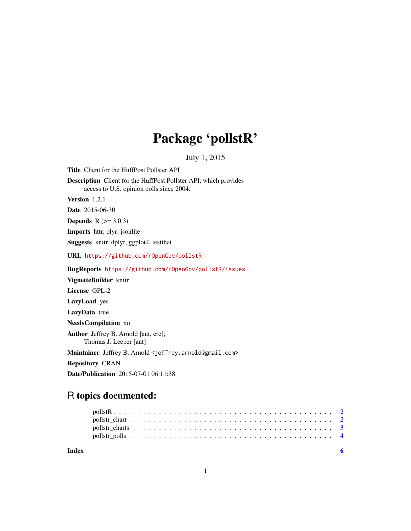# Package 'pollstR'

July 1, 2015

Title Client for the HuffPost Pollster API Description Client for the HuffPost Pollster API, which provides access to U.S. opinion polls since 2004. Version 1.2.1 Date 2015-06-30 **Depends** R  $(>= 3.0.3)$ Imports httr, plyr, jsonlite Suggests knitr, dplyr, ggplot2, testthat URL <https://github.com/rOpenGov/pollstR> BugReports <https://github.com/rOpenGov/pollstR/issues> VignetteBuilder knitr License GPL-2 LazyLoad yes LazyData true NeedsCompilation no Author Jeffrey B. Arnold [aut, cre], Thomas J. Leeper [aut]

Maintainer Jeffrey B. Arnold <jeffrey.arnold@gmail.com>

Repository CRAN

Date/Publication 2015-07-01 06:11:38

# R topics documented:

| Index |  |  |  |  |  |  |  |  |  |  |  |  |  |  |  |  |  |  |
|-------|--|--|--|--|--|--|--|--|--|--|--|--|--|--|--|--|--|--|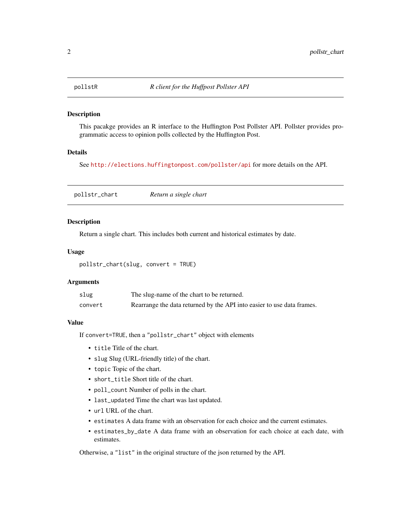<span id="page-1-0"></span>

# Description

This pacakge provides an R interface to the Huffington Post Pollster API. Pollster provides programmatic access to opinion polls collected by the Huffington Post.

#### Details

See <http://elections.huffingtonpost.com/pollster/api> for more details on the API.

pollstr\_chart *Return a single chart*

# Description

Return a single chart. This includes both current and historical estimates by date.

#### Usage

```
pollstr_chart(slug, convert = TRUE)
```
#### Arguments

| slug    | The slug-name of the chart to be returned.                             |
|---------|------------------------------------------------------------------------|
| convert | Rearrange the data returned by the API into easier to use data frames. |

# Value

If convert=TRUE, then a "pollstr\_chart" object with elements

- title Title of the chart.
- slug Slug (URL-friendly title) of the chart.
- topic Topic of the chart.
- short\_title Short title of the chart.
- poll\_count Number of polls in the chart.
- last\_updated Time the chart was last updated.
- url URL of the chart.
- estimates A data frame with an observation for each choice and the current estimates.
- estimates\_by\_date A data frame with an observation for each choice at each date, with estimates.

Otherwise, a "list" in the original structure of the json returned by the API.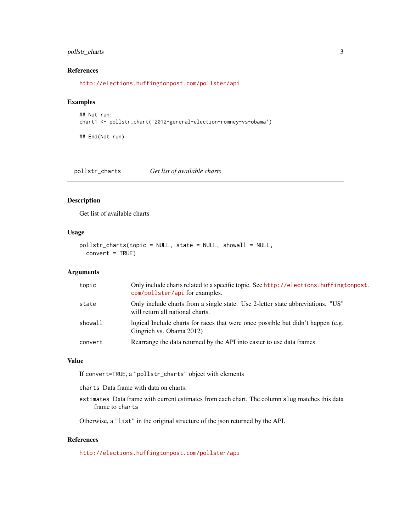# <span id="page-2-0"></span>pollstr\_charts 3

#### References

<http://elections.huffingtonpost.com/pollster/api>

#### Examples

```
## Not run:
chart1 <- pollstr_chart('2012-general-election-romney-vs-obama')
```
## End(Not run)

pollstr\_charts *Get list of available charts*

#### Description

Get list of available charts

#### Usage

```
pollstr_charts(topic = NULL, state = NULL, showall = NULL,
  convert = TRUE)
```
#### Arguments

| topic   | Only include charts related to a specific topic. See http://elections.huffingtonpost.<br>com/pollster/api for examples. |
|---------|-------------------------------------------------------------------------------------------------------------------------|
| state   | Only include charts from a single state. Use 2-letter state abbreviations. "US"<br>will return all national charts.     |
| showall | logical Include charts for races that were once possible but didn't happen (e.g.<br>Gingrich vs. Obama 2012)            |
| convert | Rearrange the data returned by the API into easier to use data frames.                                                  |

#### Value

If convert=TRUE, a "pollstr\_charts" object with elements

charts Data frame with data on charts.

estimates Data frame with current estimates from each chart. The column slug matches this data frame to charts

Otherwise, a "list" in the original structure of the json returned by the API.

# References

<http://elections.huffingtonpost.com/pollster/api>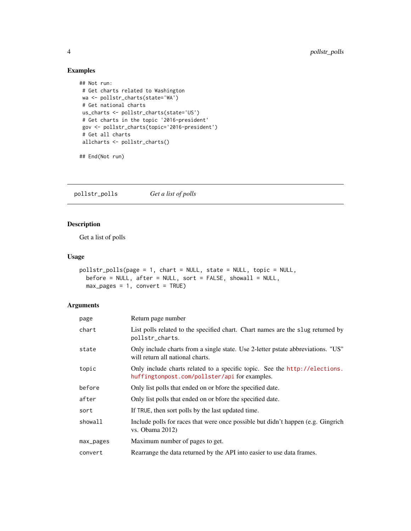# Examples

```
## Not run:
# Get charts related to Washington
wa <- pollstr_charts(state='WA')
# Get national charts
us_charts <- pollstr_charts(state='US')
# Get charts in the topic '2016-president'
 gov <- pollstr_charts(topic='2016-president')
 # Get all charts
allcharts <- pollstr_charts()
```
## End(Not run)

pollstr\_polls *Get a list of polls*

# Description

Get a list of polls

#### Usage

```
pollstr_polls(page = 1, chart = NULL, state = NULL, topic = NULL,
 before = NULL, after = NULL, sort = FALSE, shown1 = NULL,
 max_p \text{ages} = 1, convert = TRUE)
```
# Arguments

| page      | Return page number                                                                                                        |
|-----------|---------------------------------------------------------------------------------------------------------------------------|
| chart     | List polls related to the specified chart. Chart names are the slug returned by<br>pollstr_charts.                        |
| state     | Only include charts from a single state. Use 2-letter pstate abbreviations. "US"<br>will return all national charts.      |
| topic     | Only include charts related to a specific topic. See the http://elections.<br>huffingtonpost.com/pollster/apiforexamples. |
| before    | Only list polls that ended on or bfore the specified date.                                                                |
| after     | Only list polls that ended on or bfore the specified date.                                                                |
| sort      | If TRUE, then sort polls by the last updated time.                                                                        |
| showall   | Include polls for races that were once possible but didn't happen (e.g. Gingrich<br>vs. Obama 2012)                       |
| max_pages | Maximum number of pages to get.                                                                                           |
| convert   | Rearrange the data returned by the API into easier to use data frames.                                                    |

<span id="page-3-0"></span>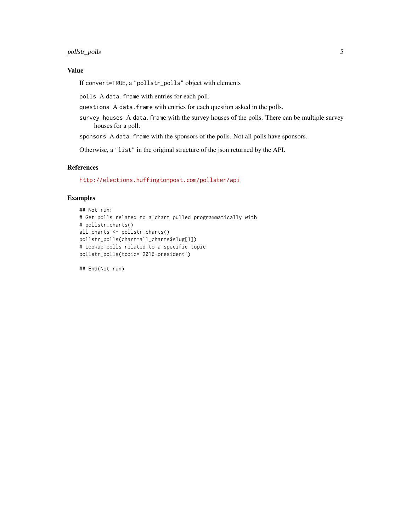# pollstr\_polls 5

# Value

If convert=TRUE, a "pollstr\_polls" object with elements

polls A data.frame with entries for each poll.

questions A data.frame with entries for each question asked in the polls.

survey\_houses A data. frame with the survey houses of the polls. There can be multiple survey houses for a poll.

sponsors A data.frame with the sponsors of the polls. Not all polls have sponsors.

Otherwise, a "list" in the original structure of the json returned by the API.

#### References

<http://elections.huffingtonpost.com/pollster/api>

#### Examples

```
## Not run:
# Get polls related to a chart pulled programmatically with
# pollstr_charts()
all_charts <- pollstr_charts()
pollstr_polls(chart=all_charts$slug[1])
# Lookup polls related to a specific topic
pollstr_polls(topic='2016-president')
```
## End(Not run)